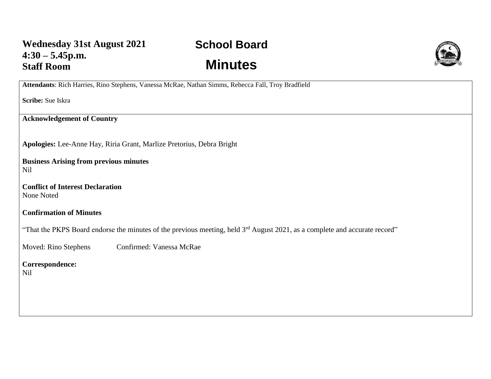## **School Board Minutes**



**Attendants**: Rich Harries, Rino Stephens, Vanessa McRae, Nathan Simms, Rebecca Fall, Troy Bradfield

**Scribe:** Sue Iskra

**Acknowledgement of Country**

**Apologies:** Lee-Anne Hay, Riria Grant, Marlize Pretorius, Debra Bright

**Business Arising from previous minutes** Nil

**Conflict of Interest Declaration** None Noted

**Confirmation of Minutes** 

"That the PKPS Board endorse the minutes of the previous meeting, held 3<sup>rd</sup> August 2021, as a complete and accurate record"

Moved: Rino Stephens Confirmed: Vanessa McRae

**Correspondence:**  Nil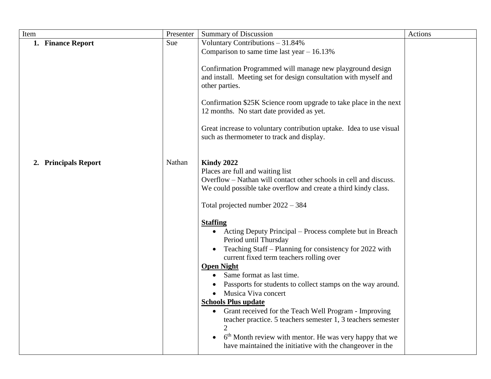| Item                           | Presenter | <b>Summary of Discussion</b>                                                                                                                                                                                                                                                                                                                                                                                                                                                                                                                                                                                                                                                                                                                                                                                                                                                                        | Actions |
|--------------------------------|-----------|-----------------------------------------------------------------------------------------------------------------------------------------------------------------------------------------------------------------------------------------------------------------------------------------------------------------------------------------------------------------------------------------------------------------------------------------------------------------------------------------------------------------------------------------------------------------------------------------------------------------------------------------------------------------------------------------------------------------------------------------------------------------------------------------------------------------------------------------------------------------------------------------------------|---------|
| 1. Finance Report              | Sue       | Voluntary Contributions - 31.84%<br>Comparison to same time last year $-16.13\%$<br>Confirmation Programmed will manage new playground design<br>and install. Meeting set for design consultation with myself and<br>other parties.<br>Confirmation \$25K Science room upgrade to take place in the next<br>12 months. No start date provided as yet.<br>Great increase to voluntary contribution uptake. Idea to use visual<br>such as thermometer to track and display.                                                                                                                                                                                                                                                                                                                                                                                                                           |         |
| <b>Principals Report</b><br>2. | Nathan    | <b>Kindy 2022</b><br>Places are full and waiting list<br>Overflow – Nathan will contact other schools in cell and discuss.<br>We could possible take overflow and create a third kindy class.<br>Total projected number $2022 - 384$<br><b>Staffing</b><br>Acting Deputy Principal – Process complete but in Breach<br>Period until Thursday<br>Teaching Staff - Planning for consistency for 2022 with<br>current fixed term teachers rolling over<br><b>Open Night</b><br>Same format as last time.<br>Passports for students to collect stamps on the way around.<br>Musica Viva concert<br><b>Schools Plus update</b><br>Grant received for the Teach Well Program - Improving<br>teacher practice. 5 teachers semester 1, 3 teachers semester<br>6 <sup>th</sup> Month review with mentor. He was very happy that we<br>$\bullet$<br>have maintained the initiative with the changeover in the |         |